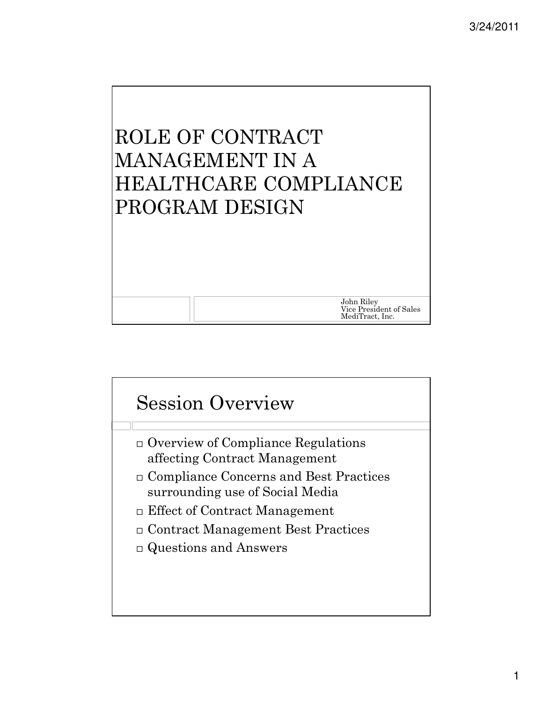# ROLE OF CONTRACT MANAGEMENT IN A HEALTHCARE COMPLIANCE PROGRAM DESIGN

John Riley Vice President of Sales MediTract, Inc.

# Session Overview Overview of Compliance Regulations affecting Contract Management Compliance Concerns and Best Practices surrounding use of Social Media Effect of Contract Management Contract Management Best Practices Questions and Answers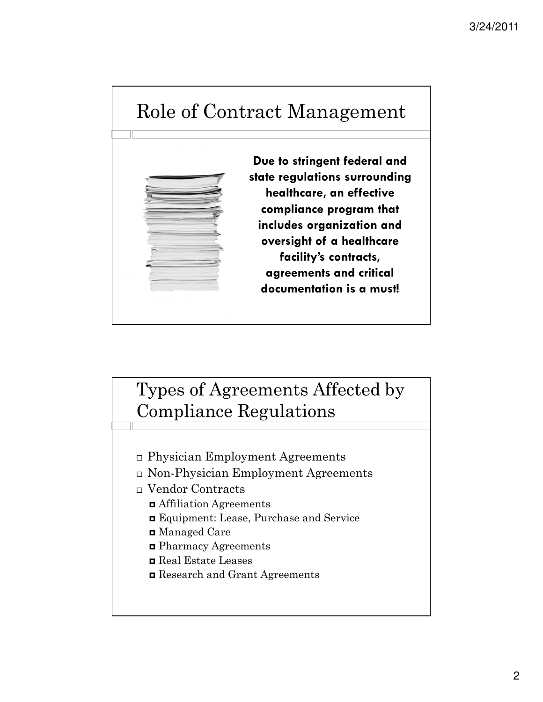### Role of Contract Management



### Types of Agreements Affected by Compliance Regulations

- Physician Employment Agreements
- Non-Physician Employment Agreements
- Vendor Contracts
	- Affiliation Agreements
	- Equipment: Lease, Purchase and Service
	- Managed Care
	- Pharmacy Agreements
	- Real Estate Leases
	- Research and Grant Agreements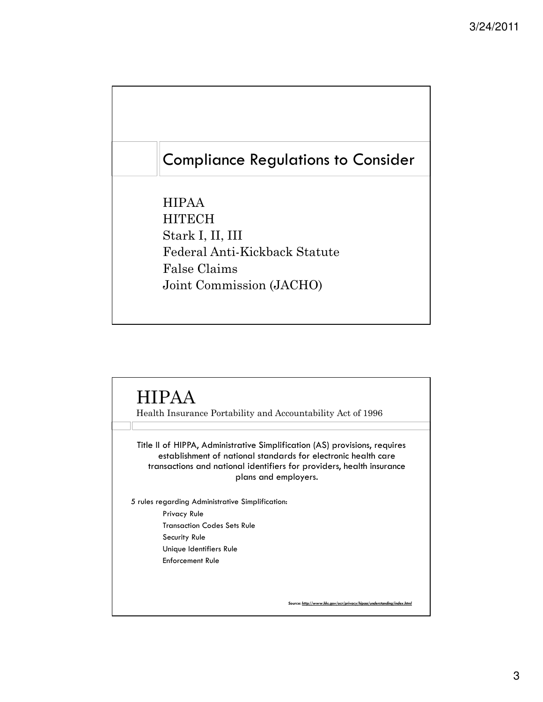#### Compliance Regulations to Consider

HIPAA **HITECH** Stark I, II, III Federal Anti-Kickback Statute False Claims Joint Commission (JACHO)

#### HIPAA

Health Insurance Portability and Accountability Act of 1996

Title II of HIPPA, Administrative Simplification (AS) provisions, requires establishment of national standards for electronic health care transactions and national identifiers for providers, health insurance plans and employers.

5 rules regarding Administrative Simplification:

Privacy Rule Transaction Codes Sets Rule Security Rule Unique Identifiers Rule Enforcement Rule

Source: http://www.hhs.gov/ocr/pri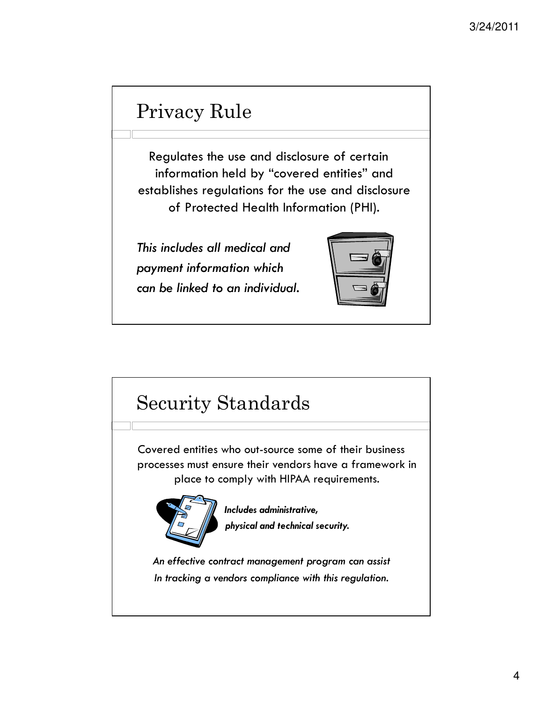## Privacy Rule

Regulates the use and disclosure of certain information held by "covered entities" and establishes regulations for the use and disclosure of Protected Health Information (PHI).

This includes all medical and payment information which can be linked to an individual.



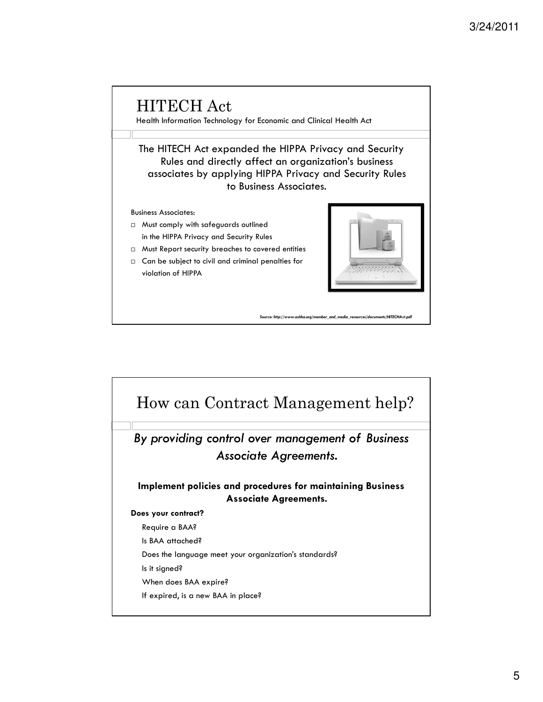

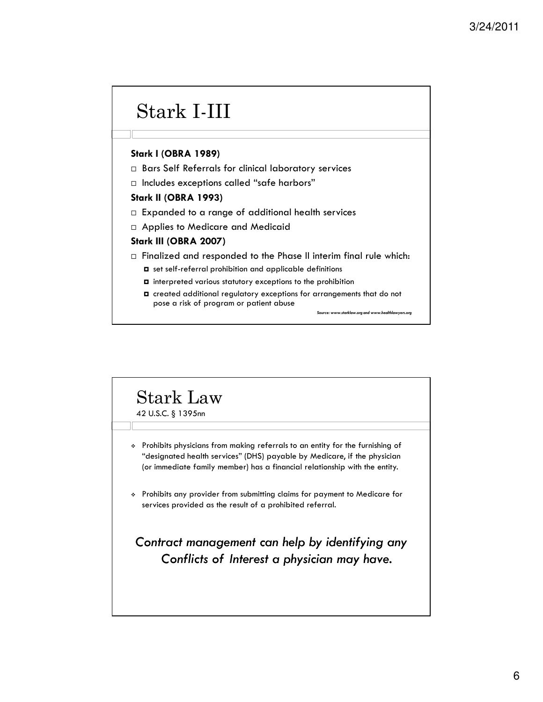## Stark I-III

#### Stark I (OBRA 1989)

- Bars Self Referrals for clinical laboratory services
- $\Box$  Includes exceptions called "safe harbors"

#### Stark II (OBRA 1993)

- $\Box$  Expanded to a range of additional health services
- Applies to Medicare and Medicaid

#### Stark III (OBRA 2007)

 $\Box$  Finalized and responded to the Phase II interim final rule which:

- set self-referral prohibition and applicable definitions
- $\Box$  interpreted various statutory exceptions to the prohibition
- created additional regulatory exceptions for arrangements that do not pose a risk of program or patient abuse

Source: www.starklaw.org and www.healthlawyers.org

### Stark Law

42 U.S.C. § 1395nn

- Prohibits physicians from making referrals to an entity for the furnishing of "designated health services" (DHS) payable by Medicare, if the physician (or immediate family member) has a financial relationship with the entity.
- Prohibits any provider from submitting claims for payment to Medicare for services provided as the result of a prohibited referral.

#### Contract management can help by identifying any Conflicts of Interest a physician may have.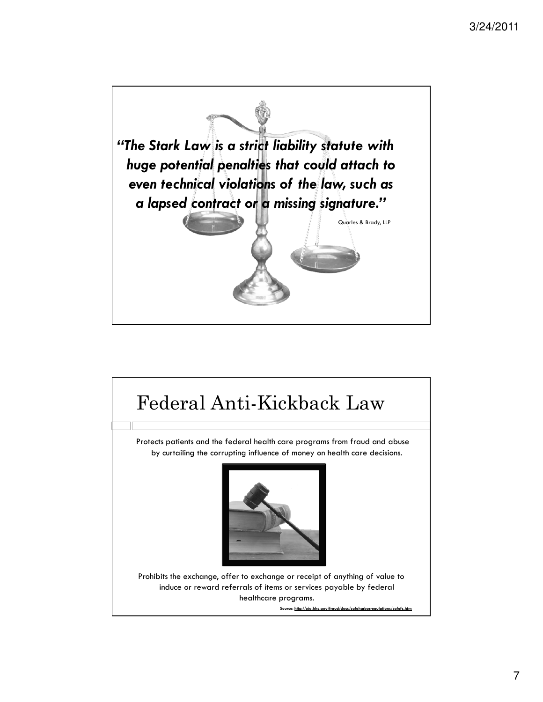

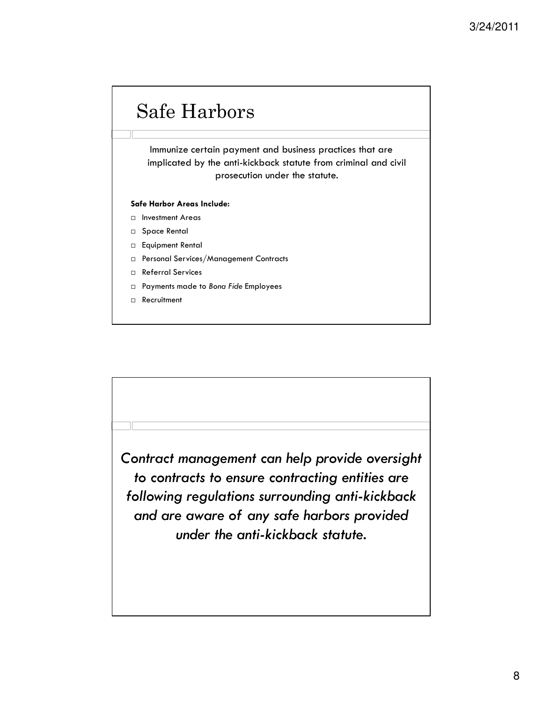# Safe Harbors

Immunize certain payment and business practices that are implicated by the anti-kickback statute from criminal and civil prosecution under the statute.

#### Safe Harbor Areas Include:

- Investment Areas
- □ Space Rental
- Equipment Rental
- Personal Services/Management Contracts
- Referral Services
- □ Payments made to Bona Fide Employees
- Recruitment

Contract management can help provide oversight to contracts to ensure contracting entities are following regulations surrounding anti-kickback and are aware of any safe harbors provided under the anti-kickback statute.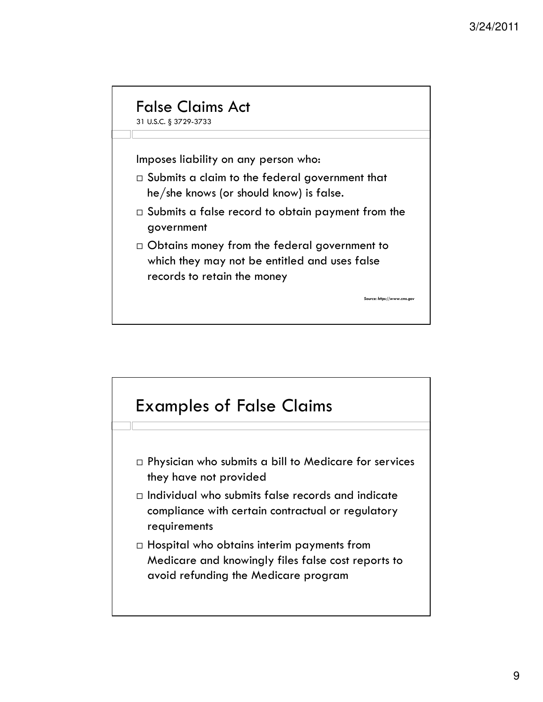#### False Claims Act

31 U.S.C. § 3729-3733

Imposes liability on any person who:

- $\Box$  Submits a claim to the federal government that he/she knows (or should know) is false.
- $\Box$  Submits a false record to obtain payment from the government

rce: https://www.cms.go

 Obtains money from the federal government to which they may not be entitled and uses false records to retain the money

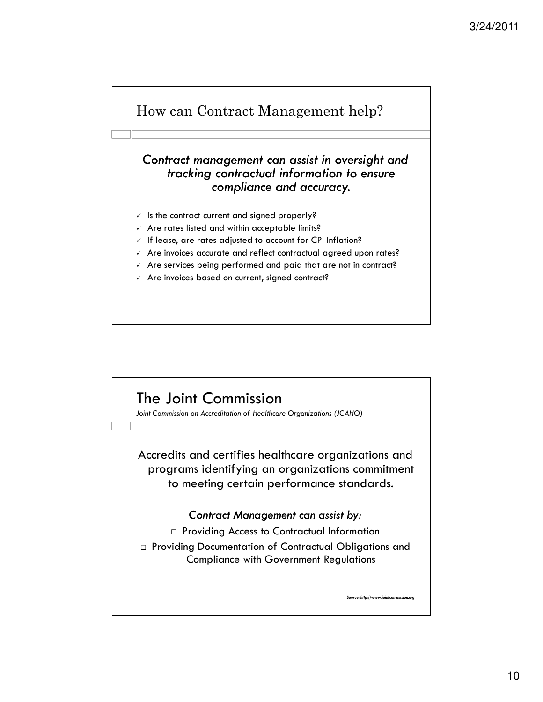

#### Contract management can assist in oversight and tracking contractual information to ensure compliance and accuracy.

- $\checkmark$  is the contract current and signed properly?
- $\checkmark$  Are rates listed and within acceptable limits?
- $\sqrt{1}$  If lease, are rates adjusted to account for CPI Inflation?
- $\sqrt{ }$  Are invoices accurate and reflect contractual agreed upon rates?
- $\sqrt{ }$  Are services being performed and paid that are not in contract?
- $\checkmark$  Are invoices based on current, signed contract?

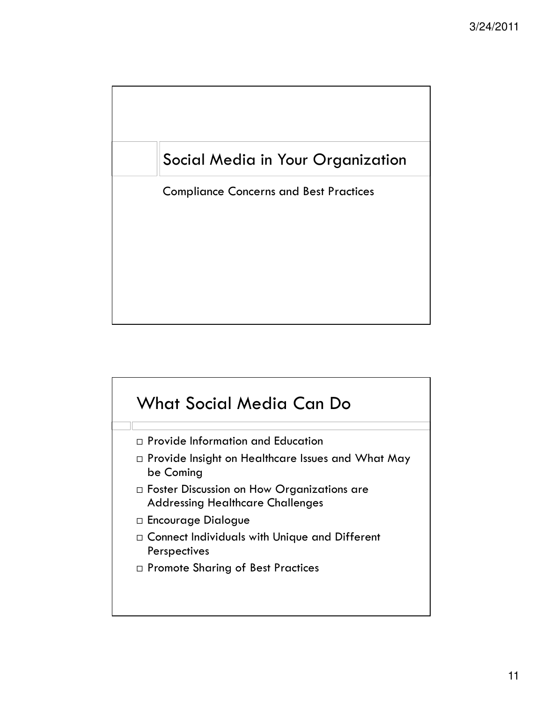

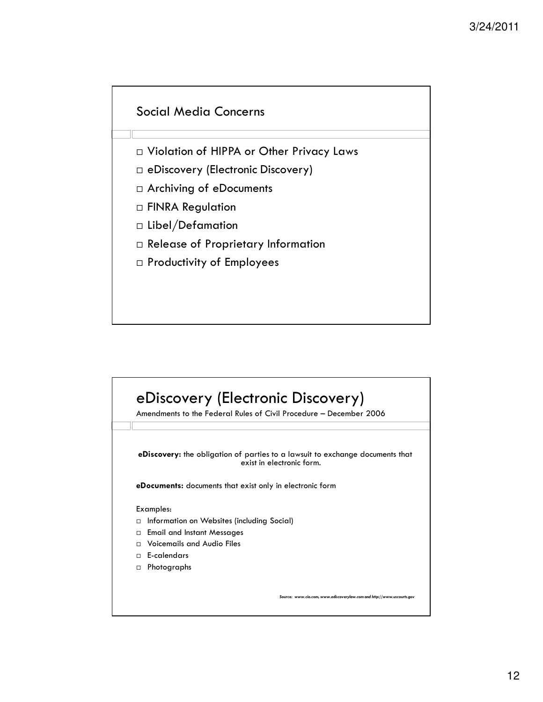#### Social Media Concerns

- Violation of HIPPA or Other Privacy Laws
- eDiscovery (Electronic Discovery)
- Archiving of eDocuments
- FINRA Regulation
- Libel/Defamation
- Release of Proprietary Information
- Productivity of Employees

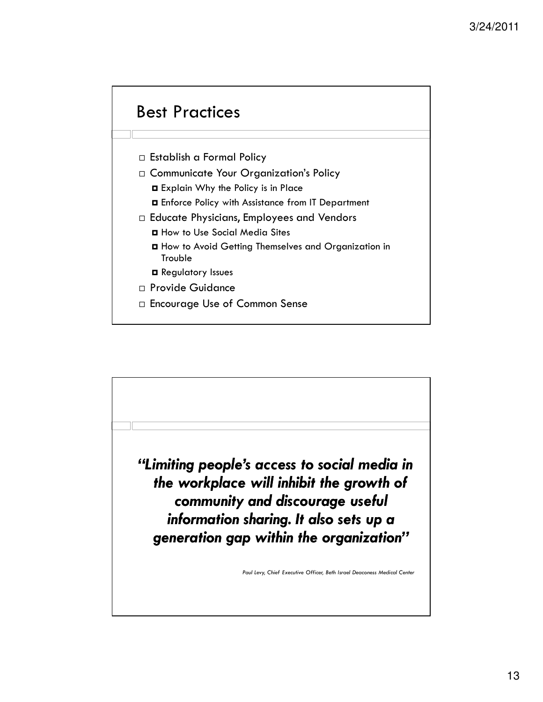#### Best Practices

- Establish a Formal Policy
- □ Communicate Your Organization's Policy
	- Explain Why the Policy is in Place
	- Enforce Policy with Assistance from IT Department
- □ Educate Physicians, Employees and Vendors
	- How to Use Social Media Sites
	- How to Avoid Getting Themselves and Organization in **Trouble**
	- **E** Regulatory Issues
- Provide Guidance
- Encourage Use of Common Sense

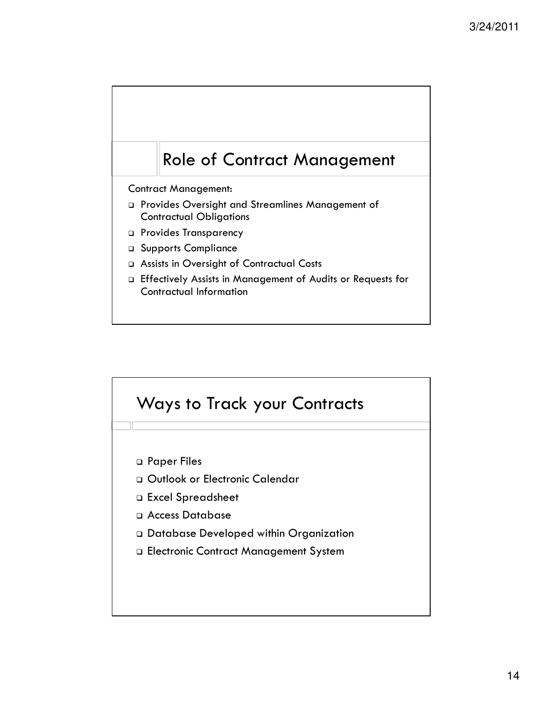### Role of Contract Management

Contract Management:

- Provides Oversight and Streamlines Management of Contractual Obligations
- D Provides Transparency
- Supports Compliance
- Assists in Oversight of Contractual Costs
- Effectively Assists in Management of Audits or Requests for Contractual Information